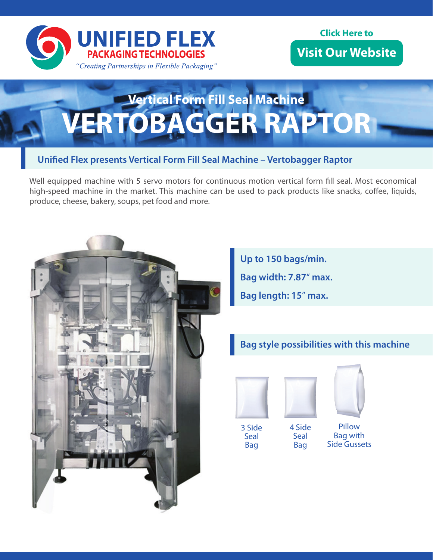

#### **Click Here to** *Micit Que* **wished with an https://www.unifiedflex.com Visit Our Website**

# **Vertical Form Fill Seal Machine VERTOBAGGER RAPTOR**

## **Unified Flex presents Vertical Form Fill Seal Machine - Vertobagger Raptor**

Well equipped machine with 5 servo motors for continuous motion vertical form fill seal. Most economical high-speed machine in the market. This machine can be used to pack products like snacks, coffee, liquids, produce, cheese, bakery, soups, pet food and more.



**Up to 150 bags/min. Bag width: 7.87**" **max. Bag length: 15**" **max.**

# **Bag style possibilities with this machine**





3 Side **Seal** Bag

4 Side **Seal** Bag

Pillow Bag with Side Gussets